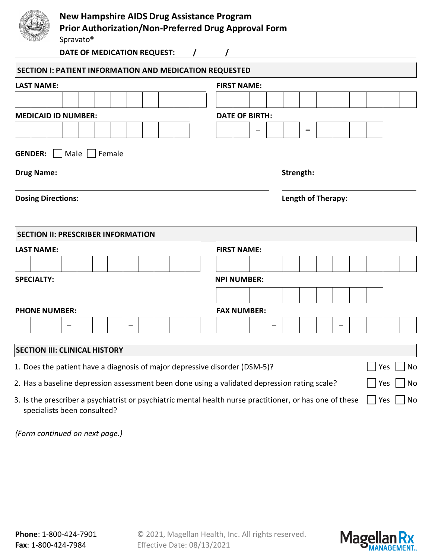|                                     | <b>New Hampshire AIDS Drug Assistance Program</b><br><b>Prior Authorization/Non-Preferred Drug Approval Form</b><br>Spravato <sup>®</sup> |                       |  |           |                    |  |  |     |    |  |  |  |  |
|-------------------------------------|-------------------------------------------------------------------------------------------------------------------------------------------|-----------------------|--|-----------|--------------------|--|--|-----|----|--|--|--|--|
|                                     | DATE OF MEDICATION REQUEST:<br>$\prime$                                                                                                   |                       |  |           |                    |  |  |     |    |  |  |  |  |
|                                     | <b>SECTION I: PATIENT INFORMATION AND MEDICATION REQUESTED</b>                                                                            |                       |  |           |                    |  |  |     |    |  |  |  |  |
| <b>LAST NAME:</b>                   |                                                                                                                                           | <b>FIRST NAME:</b>    |  |           |                    |  |  |     |    |  |  |  |  |
|                                     |                                                                                                                                           |                       |  |           |                    |  |  |     |    |  |  |  |  |
| <b>MEDICAID ID NUMBER:</b>          |                                                                                                                                           | <b>DATE OF BIRTH:</b> |  |           |                    |  |  |     |    |  |  |  |  |
|                                     |                                                                                                                                           |                       |  |           |                    |  |  |     |    |  |  |  |  |
| <b>GENDER:</b><br><b>Drug Name:</b> | Male    <br>Female                                                                                                                        |                       |  | Strength: |                    |  |  |     |    |  |  |  |  |
| <b>Dosing Directions:</b>           |                                                                                                                                           |                       |  |           | Length of Therapy: |  |  |     |    |  |  |  |  |
|                                     | <b>SECTION II: PRESCRIBER INFORMATION</b>                                                                                                 |                       |  |           |                    |  |  |     |    |  |  |  |  |
| <b>LAST NAME:</b>                   |                                                                                                                                           | <b>FIRST NAME:</b>    |  |           |                    |  |  |     |    |  |  |  |  |
|                                     |                                                                                                                                           |                       |  |           |                    |  |  |     |    |  |  |  |  |
| <b>SPECIALTY:</b>                   |                                                                                                                                           | <b>NPI NUMBER:</b>    |  |           |                    |  |  |     |    |  |  |  |  |
|                                     |                                                                                                                                           |                       |  |           |                    |  |  |     |    |  |  |  |  |
| <b>PHONE NUMBER:</b>                |                                                                                                                                           | <b>FAX NUMBER:</b>    |  |           |                    |  |  |     |    |  |  |  |  |
|                                     |                                                                                                                                           |                       |  |           |                    |  |  |     |    |  |  |  |  |
|                                     | <b>SECTION III: CLINICAL HISTORY</b>                                                                                                      |                       |  |           |                    |  |  |     |    |  |  |  |  |
|                                     | 1. Does the patient have a diagnosis of major depressive disorder (DSM-5)?                                                                |                       |  |           |                    |  |  | Yes | No |  |  |  |  |
|                                     | 2. Has a baseline depression assessment been done using a validated depression rating scale?                                              |                       |  |           |                    |  |  | Yes | No |  |  |  |  |

3. Is the prescriber a psychiatrist or psychiatric mental health nurse practitioner, or has one of these  $\Box$  Yes  $\Box$  No specialists been consulted?

*(Form continued on next page.)*

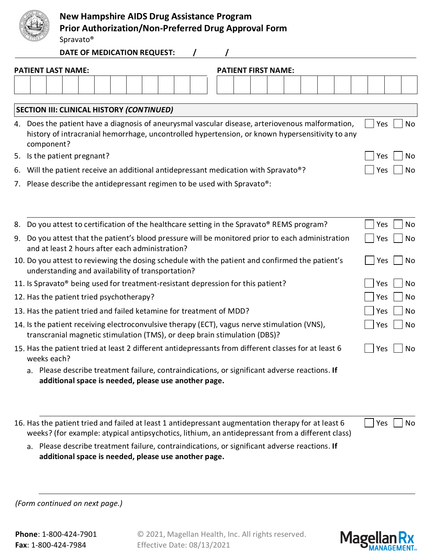|          |                                                                                                                                                                                                                                                                                                                                                 | <b>New Hampshire AIDS Drug Assistance Program</b><br><b>Prior Authorization/Non-Preferred Drug Approval Form</b><br>Spravato <sup>®</sup>          |  |  |  |  |                            |  |  |  |                   |                       |
|----------|-------------------------------------------------------------------------------------------------------------------------------------------------------------------------------------------------------------------------------------------------------------------------------------------------------------------------------------------------|----------------------------------------------------------------------------------------------------------------------------------------------------|--|--|--|--|----------------------------|--|--|--|-------------------|-----------------------|
|          |                                                                                                                                                                                                                                                                                                                                                 | DATE OF MEDICATION REQUEST:                                                                                                                        |  |  |  |  |                            |  |  |  |                   |                       |
|          | <b>PATIENT LAST NAME:</b>                                                                                                                                                                                                                                                                                                                       |                                                                                                                                                    |  |  |  |  | <b>PATIENT FIRST NAME:</b> |  |  |  |                   |                       |
|          |                                                                                                                                                                                                                                                                                                                                                 |                                                                                                                                                    |  |  |  |  |                            |  |  |  |                   |                       |
|          | <b>SECTION III: CLINICAL HISTORY (CONTINUED)</b>                                                                                                                                                                                                                                                                                                |                                                                                                                                                    |  |  |  |  |                            |  |  |  |                   |                       |
|          | 4. Does the patient have a diagnosis of aneurysmal vascular disease, arteriovenous malformation,<br>history of intracranial hemorrhage, uncontrolled hypertension, or known hypersensitivity to any<br>component?                                                                                                                               |                                                                                                                                                    |  |  |  |  |                            |  |  |  | Yes               | <b>No</b>             |
|          | 5. Is the patient pregnant?                                                                                                                                                                                                                                                                                                                     |                                                                                                                                                    |  |  |  |  |                            |  |  |  | Yes               | No                    |
| 6.       | Will the patient receive an additional antidepressant medication with Spravato®?                                                                                                                                                                                                                                                                |                                                                                                                                                    |  |  |  |  |                            |  |  |  | Yes               | No                    |
|          | 7. Please describe the antidepressant regimen to be used with Spravato <sup>®</sup> :                                                                                                                                                                                                                                                           |                                                                                                                                                    |  |  |  |  |                            |  |  |  |                   |                       |
| 8.<br>9. | Do you attest to certification of the healthcare setting in the Spravato® REMS program?<br>Do you attest that the patient's blood pressure will be monitored prior to each administration<br>and at least 2 hours after each administration?<br>10. Do you attest to reviewing the dosing schedule with the patient and confirmed the patient's |                                                                                                                                                    |  |  |  |  |                            |  |  |  | Yes<br>Yes<br>Yes | <b>No</b><br>No<br>No |
|          | understanding and availability of transportation?                                                                                                                                                                                                                                                                                               |                                                                                                                                                    |  |  |  |  |                            |  |  |  |                   |                       |
|          | 11. Is Spravato <sup>®</sup> being used for treatment-resistant depression for this patient?                                                                                                                                                                                                                                                    |                                                                                                                                                    |  |  |  |  |                            |  |  |  | Yes               | No                    |
|          | 12. Has the patient tried psychotherapy?                                                                                                                                                                                                                                                                                                        |                                                                                                                                                    |  |  |  |  |                            |  |  |  | Yes               | No                    |
|          | 13. Has the patient tried and failed ketamine for treatment of MDD?                                                                                                                                                                                                                                                                             |                                                                                                                                                    |  |  |  |  |                            |  |  |  | Yes               | No                    |
|          | 14. Is the patient receiving electroconvulsive therapy (ECT), vagus nerve stimulation (VNS),<br>transcranial magnetic stimulation (TMS), or deep brain stimulation (DBS)?                                                                                                                                                                       |                                                                                                                                                    |  |  |  |  |                            |  |  |  | Yes               | No                    |
|          | 15. Has the patient tried at least 2 different antidepressants from different classes for at least 6<br>weeks each?                                                                                                                                                                                                                             |                                                                                                                                                    |  |  |  |  |                            |  |  |  | Yes               | No                    |
|          | a. Please describe treatment failure, contraindications, or significant adverse reactions. If                                                                                                                                                                                                                                                   | additional space is needed, please use another page.                                                                                               |  |  |  |  |                            |  |  |  |                   |                       |
|          | 16. Has the patient tried and failed at least 1 antidepressant augmentation therapy for at least 6<br>weeks? (for example: atypical antipsychotics, lithium, an antidepressant from a different class)<br>а.                                                                                                                                    | Please describe treatment failure, contraindications, or significant adverse reactions. If<br>additional space is needed, please use another page. |  |  |  |  |                            |  |  |  | Yes               | No                    |
|          |                                                                                                                                                                                                                                                                                                                                                 |                                                                                                                                                    |  |  |  |  |                            |  |  |  |                   |                       |

*(Form continued on next page.)*